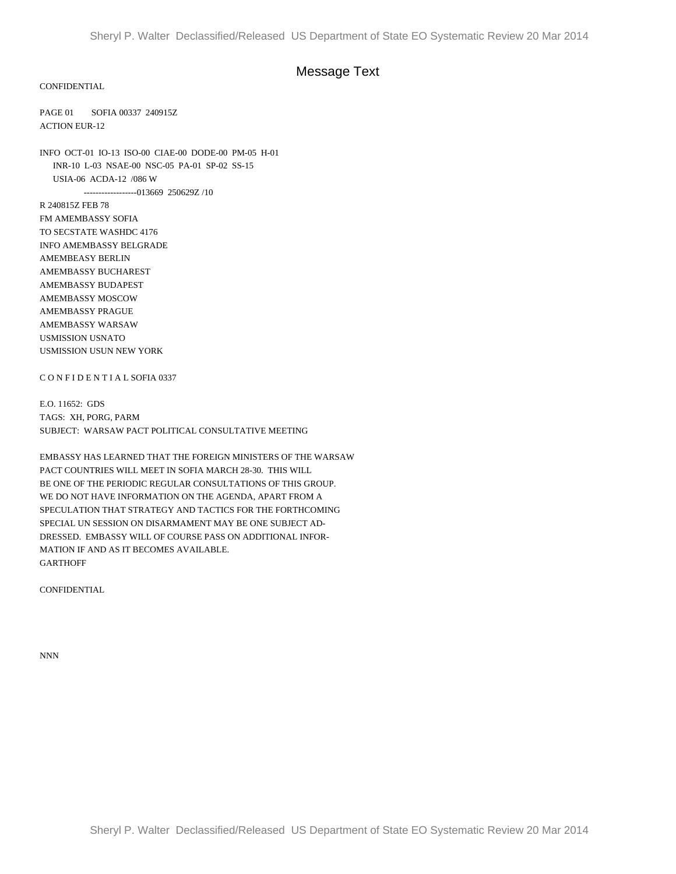## Message Text

## CONFIDENTIAL

PAGE 01 SOFIA 00337 240915Z ACTION EUR-12

INFO OCT-01 IO-13 ISO-00 CIAE-00 DODE-00 PM-05 H-01 INR-10 L-03 NSAE-00 NSC-05 PA-01 SP-02 SS-15 USIA-06 ACDA-12 /086 W ------------------013669 250629Z /10

R 240815Z FEB 78 FM AMEMBASSY SOFIA TO SECSTATE WASHDC 4176 INFO AMEMBASSY BELGRADE AMEMBEASY BERLIN AMEMBASSY BUCHAREST AMEMBASSY BUDAPEST AMEMBASSY MOSCOW AMEMBASSY PRAGUE AMEMBASSY WARSAW USMISSION USNATO USMISSION USUN NEW YORK

## C O N F I D E N T I A L SOFIA 0337

E.O. 11652: GDS TAGS: XH, PORG, PARM SUBJECT: WARSAW PACT POLITICAL CONSULTATIVE MEETING

EMBASSY HAS LEARNED THAT THE FOREIGN MINISTERS OF THE WARSAW PACT COUNTRIES WILL MEET IN SOFIA MARCH 28-30. THIS WILL BE ONE OF THE PERIODIC REGULAR CONSULTATIONS OF THIS GROUP. WE DO NOT HAVE INFORMATION ON THE AGENDA, APART FROM A SPECULATION THAT STRATEGY AND TACTICS FOR THE FORTHCOMING SPECIAL UN SESSION ON DISARMAMENT MAY BE ONE SUBJECT AD-DRESSED. EMBASSY WILL OF COURSE PASS ON ADDITIONAL INFOR-MATION IF AND AS IT BECOMES AVAILABLE. GARTHOFF

**CONFIDENTIAL** 

NNN